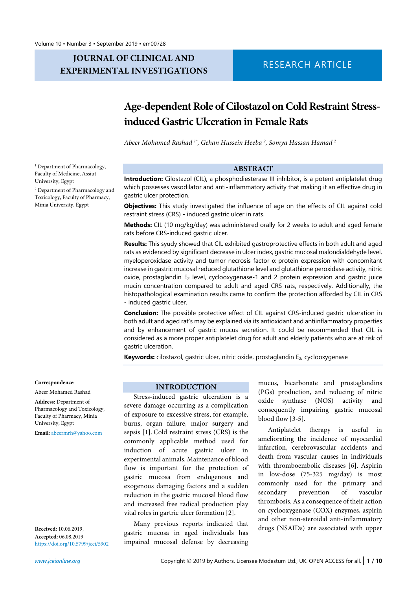## **JOURNAL OF CLINICAL AND EXPERIMENTAL INVESTIGATIONS** RESEARCH ARTICLE

# Age-dependent Role of Cilostazol on Cold Restraint Stress**induced** Gastric Ulceration in Female Rats

*Abeer Mohamed Rashad 1\* , Gehan Hussein Heeba <sup>2</sup> , Somya Hassan Hamad <sup>2</sup>*

#### **ABSTRACT**

**Introduction:** Cilostazol (CIL), a phosphodiesterase III inhibitor, is a potent antiplatelet drug which possesses vasodilator and anti-inflammatory activity that making it an effective drug in gastric ulcer protection.

**Objectives:** This study investigated the influence of age on the effects of CIL against cold restraint stress (CRS) - induced gastric ulcer in rats.

**Methods:** CIL (10 mg/kg/day) was administered orally for 2 weeks to adult and aged female rats before CRS-induced gastric ulcer.

**Results:** This syudy showed that CIL exhibited gastroprotective effects in both adult and aged rats as evidenced by significant decrease in ulcer index, gastric mucosal malondialdehyde level, myeloperoxidase activity and tumor necrosis factor- $\alpha$  protein expression with concomitant increase in gastric mucosal reduced glutathione level and glutathione peroxidase activity, nitric oxide, prostaglandin  $E_2$  level, cyclooxygenase-1 and 2 protein expression and gastric juice mucin concentration compared to adult and aged CRS rats, respectively. Additionally, the histopathological examination results came to confirm the protection afforded by CIL in CRS - induced gastric ulcer.

**Conclusion:** The possible protective effect of CIL against CRS-induced gastric ulceration in both adult and aged rat's may be explained via its antioxidant and antiinflammatory properties and by enhancement of gastric mucus secretion. It could be recommended that CIL is considered as a more proper antiplatelet drug for adult and elderly patients who are at risk of gastric ulceration.

**Keywords:** cilostazol, gastric ulcer, nitric oxide, prostaglandin E<sub>2</sub>, cyclooxygenase

#### **Correspondence:**

Abeer Mohamed Rashad

**Address:** Department of Pharmacology and Toxicology, Faculty of Pharmacy, Minia University, Egypt

**Email:** [abeermrh@yahoo.com](mailto:abeermrh@yahoo.com)

**Accepted:** 06.08.2019 <https://doi.org/10.5799/jcei/5902>

#### **INTRODUCTION**

Stress-induced gastric ulceration is a severe damage occurring as a complication of exposure to excessive stress, for example, burns, organ failure, major surgery and sepsis [1]. Cold restraint stress (CRS) is the commonly applicable method used for induction of acute gastric ulcer in experimental animals. Maintenance of blood flow is important for the protection of gastric mucosa from endogenous and exogenous damaging factors and a sudden reduction in the gastric mucosal blood flow and increased free radical production play vital roles in gartric ulcer formation [2].

Many previous reports indicated that gastric mucosa in aged individuals has impaired mucosal defense by decreasing

mucus, bicarbonate and prostaglandins (PGs) production, and reducing of nitric oxide synthase (NOS) activity and consequently impairing gastric mucosal blood flow [3-5].

Antiplatelet therapy is useful in ameliorating the incidence of myocardial infarction, cerebrovascular accidents and death from vascular causes in individuals with thromboembolic diseases [6]. Aspirin in low-dose (75-325 mg/day) is most commonly used for the primary and secondary prevention of vascular thrombosis. As a consequence of their action on cyclooxygenase (COX) enzymes, aspirin and other non-steroidal anti-inflammatory **Received:** 10.06.2019, **Received:** 10.06.2019, **drugs (NSAIDs)** are associated with upper

<sup>1</sup> Department of Pharmacology, Faculty of Medicine, Assiut University, Egypt

<sup>2</sup> Department of Pharmacology and Toxicology, Faculty of Pharmacy, Minia University, Egypt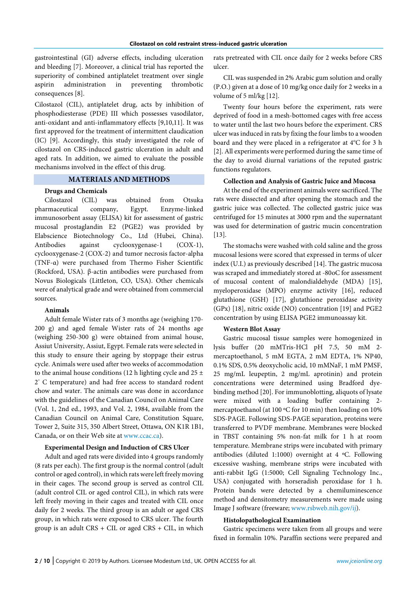gastrointestinal (GI) adverse effects, including ulceration and bleeding [7]. Moreover, a clinical trial has reported the superiority of combined antiplatelet treatment over single aspirin administration in preventing thrombotic consequences [8].

Cilostazol (CIL), antiplatelet drug, acts by inhibition of phosphodiesterase (PDE) III which possesses vasodilator, anti-oxidant and anti-inflammatory effects [9,10,11]. It was first approved for the treatment of intermittent claudication (IC) [9]. Accordingly, this study investigated the role of cilostazol on CRS-induced gastric ulceration in adult and aged rats. In addition, we aimed to evaluate the possible mechanisms involved in the effect of this drug.

#### **MATERIALS AND METHODS**

#### **Drugs and Chemicals**

Cilostazol (CIL) was obtained from Otsuka pharmaceutical company, Egypt. Enzyme-linked immunosorbent assay (ELISA) kit for assessment of gastric mucosal prostaglandin E2 (PGE2) was provided by Elabscience Biotechnology Co., Ltd (Hubei, China). Antibodies against cyclooxygenase-1 (COX-1), cyclooxygenase-2 (COX-2) and tumor necrosis factor-alpha (TNF-α) were purchased from Thermo Fisher Scientific (Rockford, USA). β-actin antibodies were purchased from Novus Biologicals (Littleton, CO, USA). Other chemicals were of analytical grade and were obtained from commercial sources.

#### **Animals**

Adult female Wister rats of 3 months age (weighing 170- 200 g) and aged female Wister rats of 24 months age (weighing 250-300 g) were obtained from animal house, Assiut University, Assiut, Egypt. Female rats were selected in this study to ensure their ageing by stoppage their estrus cycle. Animals were used after two weeks of accommodation to the animal house conditions (12 h lighting cycle and  $25 \pm$ 2**◦** C temperature) and had free access to standard rodent chow and water. The animals care was done in accordance with the guidelines of the Canadian Council on Animal Care (Vol. 1, 2nd ed., 1993, and Vol. 2, 1984, available from the Canadian Council on Animal Care, Constitution Square, Tower 2, Suite 315, 350 Albert Street, Ottawa, ON K1R 1B1, Canada, or on their Web site at [www.ccac.ca\)](http://www.ccac.ca/).

#### **Experimental Design and Induction of CRS Ulcer**

Adult and aged rats were divided into 4 groups randomly (8 rats per each). The first group is the normal control (adult control or aged control), inwhich ratswere left freely moving in their cages. The second group is served as control CIL (adult control CIL or aged control CIL), in which rats were left freely moving in their cages and treated with CIL once daily for 2 weeks. The third group is an adult or aged CRS group, in which rats were exposed to CRS ulcer. The fourth group is an adult  $CRS + CIL$  or aged  $CRS + CIL$ , in which rats pretreated with CIL once daily for 2 weeks before CRS ulcer.

CIL was suspended in 2% Arabic gum solution and orally (P.O.) given at a dose of 10 mg/kg once daily for 2 weeks in a volume of 5 ml/kg [12].

Twenty four hours before the experiment, rats were deprived of food in a mesh-bottomed cages with free access to water until the last two hours before the experiment. CRS ulcer was induced in rats by fixing the four limbs to a wooden board and they were placed in a refrigerator at  $4^{\circ}$ C for 3 h [2]. All experiments were performed during the same time of the day to avoid diurnal variations of the reputed gastric functions regulators.

#### **Collection and Analysis of Gastric Juice and Mucosa**

At the end of the experiment animals were sacrificed. The rats were dissected and after opening the stomach and the gastric juice was collected. The collected gastric juice was centrifuged for 15 minutes at 3000 rpm and the supernatant was used for determination of gastric mucin concentration [13].

The stomachs were washed with cold saline and the gross mucosal lesions were scored that expressed in terms of ulcer index (U.I.) as previously described [14]. The gastric mucosa was scraped and immediately stored at -80oC for assessment of mucosal content of malondialdehyde (MDA) [15], myeloperoxidase (MPO) enzyme activity [16], reduced glutathione (GSH) [17], glutathione peroxidase activity (GPx) [18], nitric oxide (NO) concentration [19] and PGE2 concentration by using ELISA PGE2 immunoassay kit.

#### **Western Blot Assay**

Gastric mucosal tissue samples were homogenized in lysis buffer (20 mMTris-HCl pH 7.5, 50 mM 2 mercaptoethanol, 5 mM EGTA, 2 mM EDTA, 1% NP40, 0.1% SDS, 0.5% deoxycholic acid, 10 mMNaF, 1 mM PMSF, 25 mg/mL leupeptin, 2 mg/mL aprotinin) and protein concentrations were determined using Bradford dyebinding method [20]. For immunoblotting, aliquots of lysate were mixed with a loading buffer containing 2 mercaptoethanol (at 100 ºC for 10 min) then loading on 10% SDS-PAGE. Following SDS-PAGE separation, proteins were transferred to PVDF membrane. Membranes were blocked in TBST containing 5% non-fat milk for 1 h at room temperature. Membrane strips were incubated with primary antibodies (diluted 1:1000) overnight at 4 ºC. Following excessive washing, membrane strips were incubated with anti-rabbit IgG (1:5000; Cell Signaling Technology Inc., USA) conjugated with horseradish peroxidase for 1 h. Protein bands were detected by a chemiluminescence method and densitometry measurements were made using Image J software (freeware; [www.rsbweb.nih.gov/ij\)](http://www.rsbweb.nih.gov/ij).

#### **Histolopathological Examination**

Gastric specimens were taken from all groups and were fixed in formalin 10%. Paraffin sections were prepared and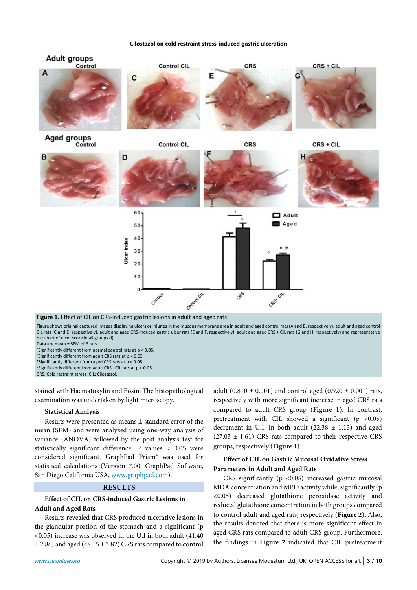#### **Cilostazol on cold restraint stress-induced gastric ulceration**





Figure shows original captured images displaying ulcers or injuries in the mucous membrane area in adult and aged control rats (A and B, respectively), adult and aged control CIL rats (C and D, respectively), adult and aged CRS-induced gastric ulcer rats (E and F, respectively), adult and aged CRS + CIL rats (G and H, respectively) and representative bar chart of ulcer score in all groups (I).

Data are mean ± SEM of 6 rats.

- \*Significantly different from normal control rats at p < 0.05.
- <sup>ο</sup>Significantly different from adult CRS rats at p < 0.05.
- ●Significantly different from aged CRS rats at <sup>p</sup> <sup>&</sup>lt; 0.05. #Significantly different from adult CRS +CIL rats at <sup>p</sup> <sup>&</sup>lt; 0.05.

CRS: Cold restraint stress; CIL: Cilostazol.

stained with Haematoxylin and Eosin. The histopathological examination was undertaken by light microscopy.

#### **Statistical Analysis**

Results were presented as means  $\pm$  standard error of the mean (SEM) and were analyzed using one-way analysis of variance (ANOVA) followed by the post analysis test for statistically significant difference. P values < 0.05 were considered significant. GraphPad Prism® was used for statistical calculations (Version 7.00, GraphPad Software, San Diego California USA, [www.graphpad.com\)](http://www.graphpad.com/).

#### **RESULTS**

#### **Effect of CIL on CRS-induced Gastric Lesions in Adult and Aged Rats**

Results revealed that CRS produced ulcerative lesions in the glandular portion of the stomach and a significant (p <0.05) increase was observed in the U.I in both adult (41.40 ± 2.86) and aged (48.15 ± 3.82) CRS rats compared to control

adult (0.810  $\pm$  0.001) and control aged (0.920  $\pm$  0.001) rats, respectively with more significant increase in aged CRS rats compared to adult CRS group (**Figure 1**). In contrast, pretreatment with CIL showed a significant  $(p \lt 0.05)$ decrement in U.I. in both adult  $(22.38 \pm 1.13)$  and aged  $(27.03 \pm 1.61)$  CRS rats compared to their respective CRS groups, respectively (**Figure 1**).

#### **Effect of CIL on Gastric Mucosal Oxidative Stress Parameters in Adult and Aged Rats**

CRS significantly ( $p \le 0.05$ ) increased gastric mucosal MDA concentration and MPO activity while, significantly (p <0.05) decreased glutathione peroxidase activity and reduced glutathione concentration in both groups compared to control adult and aged rats, respectively (**Figure 2**). Also, the results denoted that there is more significant effect in aged CRS rats compared to adult CRS group. Furthermore, the findings in **Figure 2** indicated that CIL pretreatment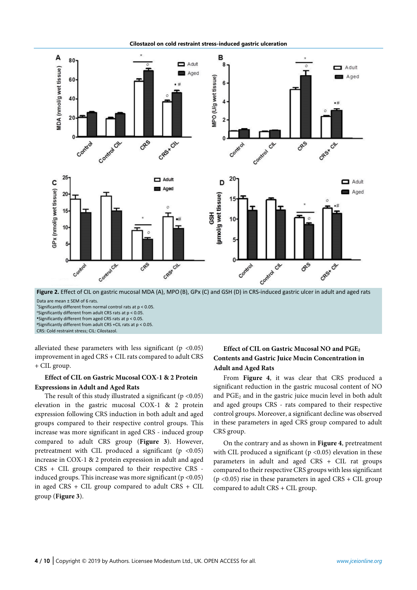**Cilostazol on cold restraint stress-induced gastric ulceration**



**Figure 2.** Effect of CIL on gastric mucosal MDA (A), MPO(B), GPx (C) and GSH (D) in CRS-induced gastric ulcer in adult and aged rats Data are mean ± SEM of 6 rats.

\*Significantly different from normal control rats at p < 0.05.

<sup>ο</sup>Significantly different from adult CRS rats at p < 0.05.

●Significantly different from aged CRS rats at p < 0.05.

#Significantly different from adult CRS +CIL rats at p < 0.05.

CRS: Cold restraint stress; CIL: Cilostazol.

alleviated these parameters with less significant ( $p < 0.05$ ) improvement in aged CRS + CIL rats compared to adult CRS + CIL group.

#### **Effect of CIL on Gastric Mucosal COX-1 & 2 Protein Expressions in Adult and Aged Rats**

The result of this study illustrated a significant ( $p < 0.05$ ) elevation in the gastric mucosal COX-1 & 2 protein expression following CRS induction in both adult and aged groups compared to their respective control groups. This increase was more significant in aged CRS - induced group compared to adult CRS group (**Figure 3**). However, pretreatment with CIL produced a significant ( $p < 0.05$ ) increase in COX-1 & 2 protein expression in adult and aged CRS + CIL groups compared to their respective CRS induced groups. This increase was more significant ( $p < 0.05$ ) in aged CRS + CIL group compared to adult CRS + CIL group (**Figure 3**).

### **Effect of CIL on Gastric Mucosal NO and PGE2 Contents and Gastric Juice Mucin Concentration in Adult and Aged Rats**

From **Figure 4**, it was clear that CRS produced a significant reduction in the gastric mucosal content of NO and  $PGE<sub>2</sub>$  and in the gastric juice mucin level in both adult and aged groups CRS - rats compared to their respective control groups. Moreover, a significant decline was observed in these parameters in aged CRS group compared to adult CRS group.

On the contrary and as shown in **Figure 4**, pretreatment with CIL produced a significant ( $p < 0.05$ ) elevation in these parameters in adult and aged CRS + CIL rat groups compared to their respective CRS groups with less significant  $(p \le 0.05)$  rise in these parameters in aged CRS + CIL group compared to adult CRS + CIL group.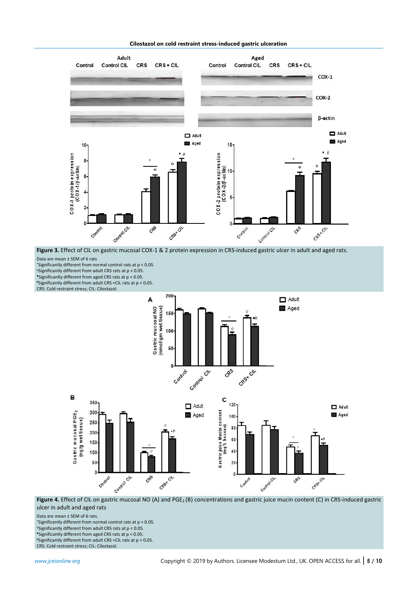#### **Cilostazol on cold restraint stress-induced gastric ulceration**



**Figure 3.** Effect of CIL on gastric mucosal COX-1 & 2 protein expression in CRS-induced gastric ulcer in adult and aged rats.

Data are mean ± SEM of 6 rats \*Significantly different from normal control rats at p < 0.05. <sup>o</sup>Significantly different from adult CRS rats at p < 0.05. ●Significantly different from aged CRS rats at p < 0.05. #Significantly different from adult CRS +CIL rats at p < 0.05. CRS: Cold restraint stress; CIL: Cilostazol.  $200 \Box$  Adult A Aged Gastric mucosal NO<br>(nmol/gm wet tissue) 150 100 50  $\mathbf{0}$ Control City GRSx City Control GES B C 350 120  $\Box$  Adult Gastric mucosal PGE2 300 Gastric juice Mucin content<br>(mg% hexose) Aged 100 (ng/g wet tissue) 250  $80$ 200 60 150  $\Delta$ 0 100 50 20  $\mathbf{0}$ Control City CRS × CIL Control  $\mathbf{0}$ Contrat City CRSY CIL C ontro GRS CRS



Data are mean ± SEM of 6 rats.

\*Significantly different from normal control rats at p < 0.05.

<sup>ο</sup>Significantly different from adult CRS rats at p < 0.05.

●Significantly different from aged CRS rats at p < 0.05.

#Significantly different from adult CRS +CIL rats at p < 0.05. CRS: Cold restraint stress; CIL: Cilostazol.

 $\Box$  Adult

Aged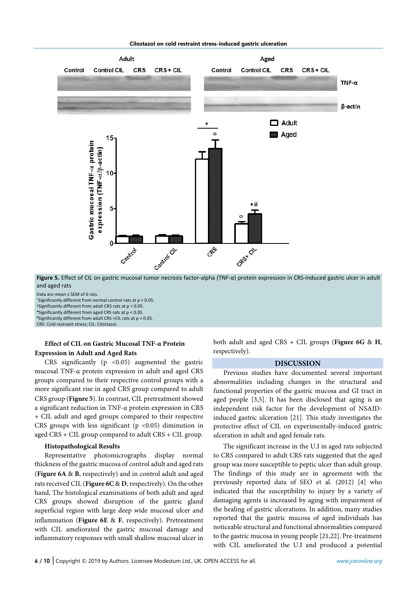#### **Cilostazol on cold restraint stress-induced gastric ulceration**



**Figure 5.** Effect of CIL on gastric mucosal tumor necrosis factor-alpha (TNF-α) protein expression in CRS-induced gastric ulcer in adult and aged rats

Data are mean ± SEM of 6 rats.

\*Significantly different from normal control rats at p < 0.05.

<sup>ο</sup>Significantly different from adult CRS rats at p < 0.05.

●Significantly different from aged CRS rats at p < 0.05.

#Significantly different from adult CRS +CIL rats at p < 0.05.

CRS: Cold restraint stress; CIL: Cilostazol.

#### **Effect of CIL on Gastric Mucosal TNF-α Protein Expression in Adult and Aged Rats**

CRS significantly (p <0.05) augmented the gastric mucosal TNF-α protein expression in adult and aged CRS groups compared to their respective control groups with a more significant rise in aged CRS group compared to adult CRS group (**Figure 5**). In contrast, CIL pretreatment showed a significant reduction in TNF-α protein expression in CRS + CIL adult and aged groups compared to their respective CRS groups with less significant ( $p \lt 0.05$ ) diminution in aged CRS + CIL group compared to adult CRS + CIL group.

#### **Histopathological Results**

Representative photomicrographs display normal thickness of the gastric mucosa of control adult and aged rats (**Figure 6A** & **B**, respectively) and in control adult and aged rats received CIL (**Figure** 6C & D, respectively). On the other hand, The histological examinations of both adult and aged CRS groups showed disruption of the gastric gland superficial region with large deep wide mucosal ulcer and inflammation (**Figure 6E** & **F**, respectively). Pretreatment with CIL ameliorated the gastric mucosal damage and inflammatory responses with small shallow mucosal ulcer in both adult and aged CRS + CIL groups (**Figure 6G** & **H**, respectively).

#### **DISCUSSION**

Previous studies have documented several important abnormalities including changes in the structural and functional properties of the gastric mucosa and GI tract in aged people [3,5]. It has been disclosed that aging is an independent risk factor for the development of NSAIDinduced gastric ulceration [21]. This study investigates the protective effect of CIL on experimentally-induced gastric ulceration in adult and aged female rats.

The significant increase in the U.I in aged rats subjected to CRS compared to adult CRS rats suggested that the aged group was more susceptible to peptic ulcer than adult group. The findings of this study are in agreement with the previously reported data of SEO et al. (2012) [4] who indicated that the susceptibility to injury by a variety of damaging agents is increased by aging with impairment of the healing of gastric ulcerations. In addition, many studies reported that the gastric mucosa of aged individuals has noticeable structural and functional abnormalities compared to the gastric mucosa in young people [21,22]. Pre-treatment with CIL ameliorated the U.I and produced a potential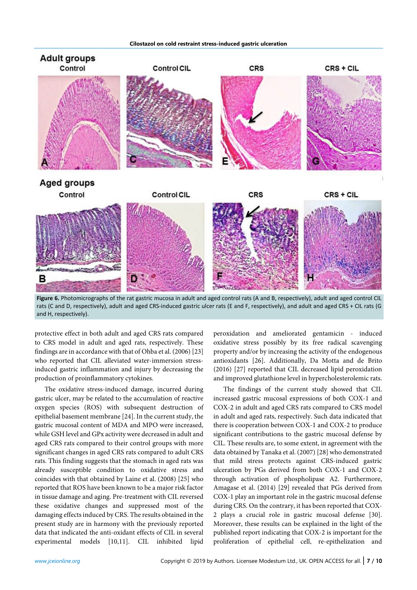

**Figure 6.** Photomicrographs of the rat gastric mucosa in adult and aged control rats (A and B, respectively), adult and aged control CIL rats (C and D, respectively), adult and aged CRS-induced gastric ulcer rats (E and F, respectively), and adult and aged CRS + CIL rats (G and H, respectively).

protective effect in both adult and aged CRS rats compared to CRS model in adult and aged rats, respectively. These findings are in accordance with that of Ohba et al. (2006) [23] who reported that CIL alleviated water-immersion stressinduced gastric inflammation and injury by decreasing the production of proinflammatory cytokines.

The oxidative stress-induced damage, incurred during gastric ulcer, may be related to the accumulation of reactive oxygen species (ROS) with subsequent destruction of epithelial basement membrane [24]. In the current study, the gastric mucosal content of MDA and MPO were increased, while GSH level and GPx activity were decreased in adult and aged CRS rats compared to their control groups with more significant changes in aged CRS rats compared to adult CRS rats. This finding suggests that the stomach in aged rats was already susceptible condition to oxidative stress and coincides with that obtained by Laine et al. (2008) [25] who reported that ROS have been known to be a major risk factor in tissue damage and aging. Pre-treatment with CIL reversed these oxidative changes and suppressed most of the damaging effects induced by CRS. The results obtained in the present study are in harmony with the previously reported data that indicated the anti-oxidant effects of CIL in several experimental models [10,11]. CIL inhibited lipid

peroxidation and ameliorated gentamicin - induced oxidative stress possibly by its free radical scavenging property and/or by increasing the activity of the endogenous antioxidants [26]. Additionally, Da Motta and de Brito (2016) [27] reported that CIL decreased lipid peroxidation and improved glutathione level in hypercholesterolemic rats.

The findings of the current study showed that CIL increased gastric mucosal expressions of both COX-1 and COX-2 in adult and aged CRS rats compared to CRS model in adult and aged rats, respectively. Such data indicated that there is cooperation between COX-1 and COX-2 to produce significant contributions to the gastric mucosal defense by CIL. These results are, to some extent, in agreement with the data obtained by Tanaka et al. (2007) [28] who demonstrated that mild stress protects against CRS-induced gastric ulceration by PGs derived from both COX-1 and COX-2 through activation of phospholipase A2. Furthermore, Amagase et al. (2014) [29] revealed that PGs derived from COX-1 play an important role in the gastric mucosal defense during CRS. On the contrary, it has been reported that COX-2 plays a crucial role in gastric mucosal defense [30]. Moreover, these results can be explained in the light of the published report indicating that COX-2 is important for the proliferation of epithelial cell, re-epithelization and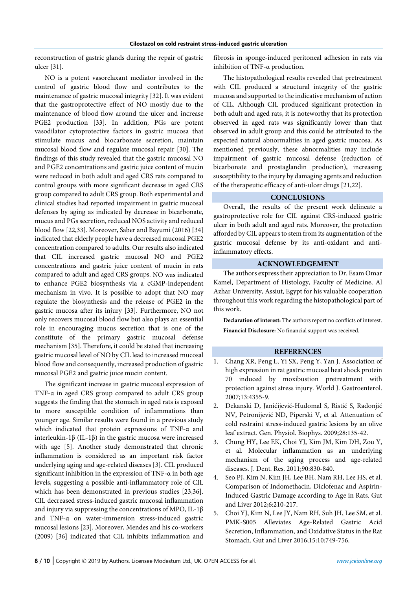reconstruction of gastric glands during the repair of gastric ulcer [31].

NO is a potent vasorelaxant mediator involved in the control of gastric blood flow and contributes to the maintenance of gastric mucosal integrity [32]. It was evident that the gastroprotective effect of NO mostly due to the maintenance of blood flow around the ulcer and increase PGE2 production [33]. In addition, PGs are potent vasodilator cytoprotective factors in gastric mucosa that stimulate mucus and biocarbonate secretion, maintain mucosal blood flow and regulate mucosal repair [30]. The findings of this study revealed that the gastric mucosal NO and PGE2 concentrations and gastric juice content of mucin were reduced in both adult and aged CRS rats compared to control groups with more significant decrease in aged CRS group compared to adult CRS group. Both experimental and clinical studies had reported impairment in gastric mucosal defenses by aging as indicated by decrease in bicarbonate, mucus and PGs secretion, reduced NOS activity and reduced blood flow [22,33]. Moreover, Saber and Bayumi (2016) [34] indicated that elderly people have a decreased mucosal PGE2 concentration compared to adults. Our results also indicated that CIL increased gastric mucosal NO and PGE2 concentrations and gastric juice content of mucin in rats compared to adult and aged CRS groups. NO was indicated to enhance PGE2 biosynthesis via a cGMP-independent mechanism in vivo. It is possible to adopt that NO may regulate the biosynthesis and the release of PGE2 in the gastric mucosa after its injury [33]. Furthermore, NO not only recovers mucosal blood flow but also plays an essential role in encouraging mucus secretion that is one of the constitute of the primary gastric mucosal defense mechanism [35]. Therefore, it could be stated that increasing gastric mucosal level of NO by CIL lead to increased mucosal blood flow and consequently, increased production of gastric mucosal PGE2 and gastric juice mucin content.

The significant increase in gastric mucosal expression of TNF-α in aged CRS group compared to adult CRS group suggests the finding that the stomach in aged rats is exposed to more susceptible condition of inflammations than younger age. Similar results were found in a previous study which indicated that protein expressions of TNF-α and interleukin-1β (IL-1β) in the gastric mucosa were increased with age [5]. Another study demonstrated that chronic inflammation is considered as an important risk factor underlying aging and age-related diseases [3]. CIL produced significant inhibition in the expression of TNF-α in both age levels, suggesting a possible anti-inflammatory role of CIL which has been demonstrated in previous studies [23,36]. CIL decreased stress-induced gastric mucosal inflammation and injury via suppressing the concentrations of MPO, IL-1β and TNF-α on water-immersion stress-induced gastric mucosal lesions [23]. Moreover, Mendes and his co-workers (2009) [36] indicated that CIL inhibits inflammation and

fibrosis in sponge-induced peritoneal adhesion in rats via inhibition of TNF-α production.

The histopathological results revealed that pretreatment with CIL produced a structural integrity of the gastric mucosa and supported to the indicative mechanism of action of CIL. Although CIL produced significant protection in both adult and aged rats, it is noteworthy that its protection observed in aged rats was significantly lower than that observed in adult group and this could be attributed to the expected natural abnormalities in aged gastric mucosa. As mentioned previously, these abnormalities may include impairment of gastric mucosal defense (reduction of bicarbonate and prostaglandin production), increasing susceptibility to the injury by damaging agents and reduction of the therapeutic efficacy of anti-ulcer drugs [21,22].

#### **CONCLUSIONS**

Overall, the results of the present work delineate a gastroprotective role for CIL against CRS-induced gastric ulcer in both adult and aged rats. Moreover, the protection afforded by CIL appears to stem from its augmentation of the gastric mucosal defense by its anti-oxidant and antiinflammatory effects.

#### **ACKNOWLEDGEMENT**

The authors express their appreciation to Dr. Esam Omar Kamel, Department of Histology, Faculty of Medicine, Al Azhar University, Assiut, Egypt for his valuable cooperation throughout this work regarding the histopathological part of this work.

**Declaration of interest:** The authors report no conflicts of interest. **Financial Disclosure:** No financial support was received.

#### **REFERENCES**

- 1. Chang XR, Peng L, Yi SX, Peng Y, Yan J. Association of high expression in rat gastric mucosal heat shock protein 70 induced by moxibustion pretreatment with protection against stress injury. World J. Gastroenterol. 2007;13:4355-9.
- 2. Dekanski D, Janićijević-Hudomal S, Ristić S, Radonjić NV, Petronijević ND, Piperski V, et al. Attenuation of cold restraint stress-induced gastric lesions by an olive leaf extract. Gen. Physiol. Biophys. 2009;28:135-42.
- 3. Chung HY, Lee EK, Choi YJ, Kim JM, Kim DH, Zou Y, et al. Molecular inflammation as an underlying mechanism of the aging process and age-related diseases. J. Dent. Res. 2011;90:830-840.
- 4. Seo PJ, Kim N, Kim JH, Lee BH, Nam RH, Lee HS, et al. Comparison of Indomethacin, Diclofenac and Aspirin-Induced Gastric Damage according to Age in Rats. Gut and Liver 2012;6:210-217.
- 5. Choi YJ, Kim N, Lee JY, Nam RH, Suh JH, Lee SM, et al. PMK-S005 Alleviates Age-Related Gastric Acid Secretion, Inflammation, and Oxidative Status in the Rat Stomach. Gut and Liver 2016;15:10:749-756.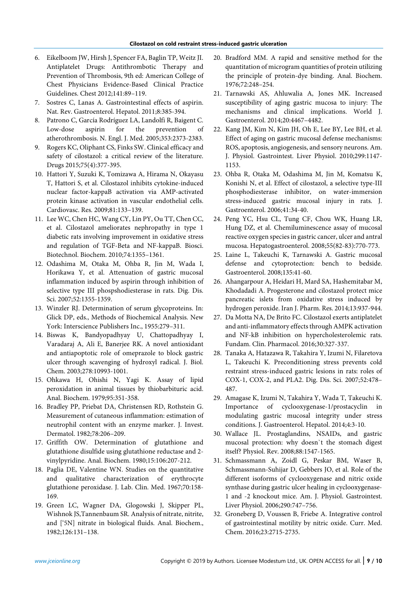- 6. Eikelboom JW, Hirsh J, Spencer FA, Baglin TP, Weitz JI. Antiplatelet Drugs: Antithrombotic Therapy and Prevention of Thrombosis, 9th ed: American College of Chest Physicians Evidence-Based Clinical Practice Guidelines. Chest 2012;141:89–119.
- 7. Sostres C, Lanas A. Gastrointestinal effects of aspirin. Nat. Rev. Gastroenterol. Hepatol. 2011;8:385-394.
- 8. Patrono C, García Rodríguez LA, Landolfi R, Baigent C. Low-dose aspirin for the prevention of atherothrombosis. N. Engl. J. Med. 2005;353:2373-2383.
- 9. Rogers KC, Oliphant CS, Finks SW. Clinical efficacy and safety of cilostazol: a critical review of the literature. Drugs 2015;75(4):377-395.
- 10. Hattori Y, Suzuki K, Tomizawa A, Hirama N, Okayasu T, Hattori S, et al. Cilostazol inhibits cytokine-induced nuclear factor-kappaB activation via AMP-activated protein kinase activation in vascular endothelial cells. Cardiovasc. Res. 2009;81:133–139.
- 11. Lee WC, Chen HC, Wang CY, Lin PY, Ou TT, Chen CC, et al. Cilostazol ameliorates nephropathy in type 1 diabetic rats involving improvement in oxidative stress and regulation of TGF-Beta and NF-kappaB. Biosci. Biotechnol. Biochem. 2010;74:1355–1361.
- 12. Odashima M, Otaka M, Ohba R, Jin M, Wada I, Horikawa Y, et al. Attenuation of gastric mucosal inflammation induced by aspirin through inhibition of selective type III phospshodiesterase in rats. Dig. Dis. Sci. 2007;52:1355-1359.
- 13. Winzler RJ. Determination of serum glycoproteins. In: Glick DP, eds., Methods of Biochemical Analysis. New York: Interscience Publishers Inc., 1955:279–311.
- 14. Biswas K, Bandyopadhyay U, Chattopadhyay I, Varadaraj A, Ali E, Banerjee RK. A novel antioxidant and antiapoptotic role of omeprazole to block gastric ulcer through scavenging of hydroxyl radical. J. Biol. Chem. 2003;278:10993-1001.
- 15. Ohkawa H, Ohishi N, Yagi K. Assay of lipid peroxidation in animal tissues by thiobarbituric acid. Anal. Biochem. 1979;95:351-358.
- 16. Bradley PP, Priebat DA, Christensen RD, Rothstein G. Measurement of cutaneous inflammation: estimation of neutrophil content with an enzyme marker. J. Invest. Dermatol. 1982;78:206–209.
- 17. Griffith OW. Determination of glutathione and glutathione disulfide using glutathione reductase and 2 vinylpyridine. Anal. Biochem. 1980;15:106:207-212.
- 18. Paglia DE, Valentine WN. Studies on the quantitative and qualitative characterization of erythrocyte glutathione peroxidase. J. Lab. Clin. Med. 1967;70:158- 169.
- 19. Green LC, Wagner DA, Glogowski J, Skipper PL, Wishnok JS,Tannenbaum SR. Analysis of nitrate, nitrite, and ['5N] nitrate in biological fluids. Anal. Biochem., 1982;126:131–138.
- 20. Bradford MM. A rapid and sensitive method for the quantitation of microgram quantities of protein utilizing the principle of protein-dye binding. Anal. Biochem. 1976;72:248–254.
- 21. Tarnawski AS, Ahluwalia A, Jones MK. Increased susceptibility of aging gastric mucosa to injury: The mechanisms and clinical implications. World J. Gastroenterol. 2014;20:4467–4482.
- 22. Kang JM, Kim N, Kim JH, Oh E, Lee BY, Lee BH, et al. Effect of aging on gastric mucosal defense mechanisms: ROS, apoptosis, angiogenesis, and sensory neurons. Am. J. Physiol. Gastrointest. Liver Physiol. 2010;299:1147- 1153.
- 23. Ohba R, Otaka M, Odashima M, Jin M, Komatsu K, Konishi N, et al. Effect of cilostazol, a selective type-III phosphodiesterase inhibitor, on water-immersion stress-induced gastric mucosal injury in rats. J. Gastroenterol. 2006;41:34-40.
- 24. Peng YC, Hsu CL, Tung CF, Chou WK, Huang LR, Hung DZ, et al. Chemiluminescence assay of mucosal reactive oxygen speciesin gastric cancer, ulcer and antral mucosa. Hepatogastroenterol. 2008;55(82-83):770-773.
- 25. Laine L, Takeuchi K, Tarnawski A. Gastric mucosal defense and cytoprotection: bench to bedside. Gastroenterol. 2008;135:41-60.
- 26. Ahangarpour A, Heidari H, Mard SA, Hashemitabar M, Khodadadi A. Progesterone and cilostazol protect mice pancreatic islets from oxidative stress induced by hydrogen peroxide. Iran J. Pharm. Res. 2014;13:937-944.
- 27. Da Motta NA, De Brito FC. Cilostazol exerts antiplatelet and anti-inflammatory effects through AMPK activation and NF-kB inhibition on hypercholesterolemic rats. Fundam. Clin. Pharmacol. 2016;30:327-337.
- 28. Tanaka A, Hatazawa R, Takahira Y, Izumi N, Filaretova L, Takeuchi K. Preconditioning stress prevents cold restraint stress-induced gastric lesions in rats: roles of COX-1, COX-2, and PLA2. Dig. Dis. Sci. 2007;52:478– 487.
- 29. Amagase K, Izumi N, Takahira Y, Wada T, Takeuchi K. Importance of cyclooxygenase-1/prostacyclin in modulating gastric mucosal integrity under stress conditions. J. Gastroenterol. Hepatol. 2014;4:3-10.
- 30. Wallace JL. Prostaglandins, NSAIDs, and gastric mucosal protection: why doesn`t the stomach digest itself? Physiol. Rev. 2008;88:1547-1565.
- 31. Schmassmann A, Zoidl G, Peskar BM, Waser B, Schmassmann-Suhijar D, Gebbers JO, et al. Role of the different isoforms of cyclooxygenase and nitric oxide synthase during gastric ulcer healing in cyclooxygenase-1 and -2 knockout mice. Am. J. Physiol. Gastrointest. Liver Physiol. 2006;290:747–756.
- 32. Groneberg D, Voussen B, Friebe A. Integrative control of gastrointestinal motility by nitric oxide. Curr. Med. Chem. 2016;23:2715-2735.